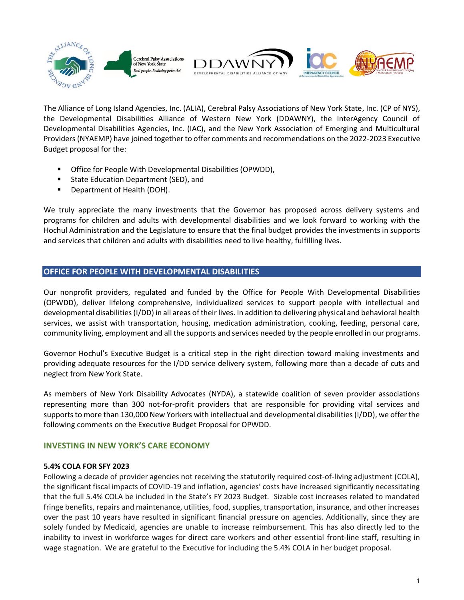

The Alliance of Long Island Agencies, Inc. (ALIA), Cerebral Palsy Associations of New York State, Inc. (CP of NYS), the Developmental Disabilities Alliance of Western New York (DDAWNY), the InterAgency Council of Developmental Disabilities Agencies, Inc. (IAC), and the New York Association of Emerging and Multicultural Providers (NYAEMP) have joined together to offer comments and recommendations on the 2022-2023 Executive Budget proposal for the:

- Office for People With Developmental Disabilities (OPWDD),
- State Education Department (SED), and
- Department of Health (DOH).

We truly appreciate the many investments that the Governor has proposed across delivery systems and programs for children and adults with developmental disabilities and we look forward to working with the Hochul Administration and the Legislature to ensure that the final budget provides the investments in supports and services that children and adults with disabilities need to live healthy, fulfilling lives.

# **OFFICE FOR PEOPLE WITH DEVELOPMENTAL DISABILITIES**

Our nonprofit providers, regulated and funded by the Office for People With Developmental Disabilities (OPWDD), deliver lifelong comprehensive, individualized services to support people with intellectual and developmental disabilities(I/DD) in all areas of their lives. In addition to delivering physical and behavioral health services, we assist with transportation, housing, medication administration, cooking, feeding, personal care, community living, employment and all the supports and services needed by the people enrolled in our programs.

Governor Hochul's Executive Budget is a critical step in the right direction toward making investments and providing adequate resources for the I/DD service delivery system, following more than a decade of cuts and neglect from New York State.

As members of New York Disability Advocates (NYDA), a statewide coalition of seven provider associations representing more than 300 not-for-profit providers that are responsible for providing vital services and supports to more than 130,000 New Yorkers with intellectual and developmental disabilities (I/DD), we offer the following comments on the Executive Budget Proposal for OPWDD.

# **INVESTING IN NEW YORK'S CARE ECONOMY**

# **5.4% COLA FOR SFY 2023**

Following a decade of provider agencies not receiving the statutorily required cost-of-living adjustment (COLA), the significant fiscal impacts of COVID-19 and inflation, agencies' costs have increased significantly necessitating that the full 5.4% COLA be included in the State's FY 2023 Budget. Sizable cost increases related to mandated fringe benefits, repairs and maintenance, utilities, food, supplies, transportation, insurance, and other increases over the past 10 years have resulted in significant financial pressure on agencies. Additionally, since they are solely funded by Medicaid, agencies are unable to increase reimbursement. This has also directly led to the inability to invest in workforce wages for direct care workers and other essential front-line staff, resulting in wage stagnation. We are grateful to the Executive for including the 5.4% COLA in her budget proposal.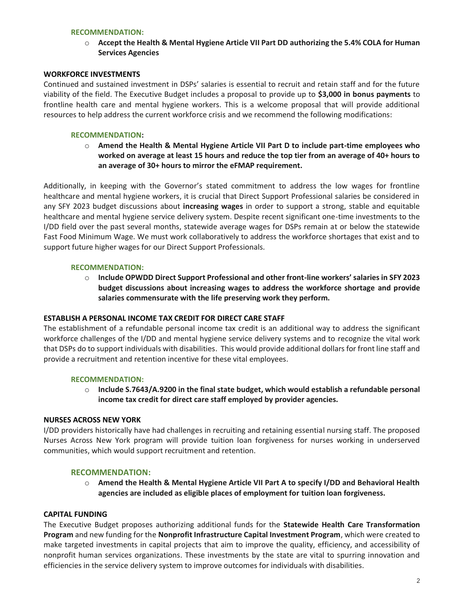#### **RECOMMENDATION:**

o **Accept the Health & Mental Hygiene Article VII Part DD authorizing the 5.4% COLA for Human Services Agencies**

#### **WORKFORCE INVESTMENTS**

Continued and sustained investment in DSPs' salaries is essential to recruit and retain staff and for the future viability of the field. The Executive Budget includes a proposal to provide up to **\$3,000 in bonus payments** to frontline health care and mental hygiene workers. This is a welcome proposal that will provide additional resources to help address the current workforce crisis and we recommend the following modifications:

### **RECOMMENDATION:**

o **Amend the Health & Mental Hygiene Article VII Part D to include part-time employees who worked on average at least 15 hours and reduce the top tier from an average of 40+ hours to an average of 30+ hours to mirror the eFMAP requirement.**

Additionally, in keeping with the Governor's stated commitment to address the low wages for frontline healthcare and mental hygiene workers, it is crucial that Direct Support Professional salaries be considered in any SFY 2023 budget discussions about **increasing wages** in order to support a strong, stable and equitable healthcare and mental hygiene service delivery system. Despite recent significant one-time investments to the I/DD field over the past several months, statewide average wages for DSPs remain at or below the statewide Fast Food Minimum Wage. We must work collaboratively to address the workforce shortages that exist and to support future higher wages for our Direct Support Professionals.

#### **RECOMMENDATION:**

o **Include OPWDD Direct Support Professional and other front-line workers' salaries in SFY 2023 budget discussions about increasing wages to address the workforce shortage and provide salaries commensurate with the life preserving work they perform.**

#### **ESTABLISH A PERSONAL INCOME TAX CREDIT FOR DIRECT CARE STAFF**

The establishment of a refundable personal income tax credit is an additional way to address the significant workforce challenges of the I/DD and mental hygiene service delivery systems and to recognize the vital work that DSPs do to support individuals with disabilities. This would provide additional dollars for front line staff and provide a recruitment and retention incentive for these vital employees.

#### **RECOMMENDATION:**

o **Include S.7643/A.9200 in the final state budget, which would establish a refundable personal income tax credit for direct care staff employed by provider agencies.**

#### **NURSES ACROSS NEW YORK**

I/DD providers historically have had challenges in recruiting and retaining essential nursing staff. The proposed Nurses Across New York program will provide tuition loan forgiveness for nurses working in underserved communities, which would support recruitment and retention.

#### **RECOMMENDATION:**

o **Amend the Health & Mental Hygiene Article VII Part A to specify I/DD and Behavioral Health agencies are included as eligible places of employment for tuition loan forgiveness.**

#### **CAPITAL FUNDING**

The Executive Budget proposes authorizing additional funds for the **Statewide Health Care Transformation Program** and new funding for the **Nonprofit Infrastructure Capital Investment Program**, which were created to make targeted investments in capital projects that aim to improve the quality, efficiency, and accessibility of nonprofit human services organizations. These investments by the state are vital to spurring innovation and efficiencies in the service delivery system to improve outcomes for individuals with disabilities.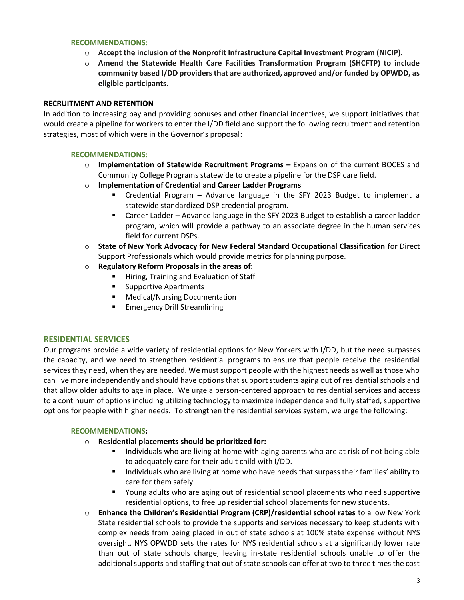### **RECOMMENDATIONS:**

- o **Accept the inclusion of the Nonprofit Infrastructure Capital Investment Program (NICIP).**
- o **Amend the Statewide Health Care Facilities Transformation Program (SHCFTP) to include community based I/DD providers that are authorized, approved and/or funded by OPWDD, as eligible participants.**

# **RECRUITMENT AND RETENTION**

In addition to increasing pay and providing bonuses and other financial incentives, we support initiatives that would create a pipeline for workers to enter the I/DD field and support the following recruitment and retention strategies, most of which were in the Governor's proposal:

## **RECOMMENDATIONS:**

- o **Implementation of Statewide Recruitment Programs –** Expansion of the current BOCES and Community College Programs statewide to create a pipeline for the DSP care field.
- o **Implementation of Credential and Career Ladder Programs**
	- Credential Program Advance language in the SFY 2023 Budget to implement a statewide standardized DSP credential program.
	- Career Ladder Advance language in the SFY 2023 Budget to establish a career ladder program, which will provide a pathway to an associate degree in the human services field for current DSPs.
- o **State of New York Advocacy for New Federal Standard Occupational Classification** for Direct Support Professionals which would provide metrics for planning purpose.
- o **Regulatory Reform Proposals in the areas of:**
	- Hiring, Training and Evaluation of Staff
	- Supportive Apartments
	- **Medical/Nursing Documentation**
	- Emergency Drill Streamlining

## **RESIDENTIAL SERVICES**

Our programs provide a wide variety of residential options for New Yorkers with I/DD, but the need surpasses the capacity, and we need to strengthen residential programs to ensure that people receive the residential services they need, when they are needed. We must support people with the highest needs as well as those who can live more independently and should have options that support students aging out of residential schools and that allow older adults to age in place. We urge a person-centered approach to residential services and access to a continuum of options including utilizing technology to maximize independence and fully staffed, supportive options for people with higher needs. To strengthen the residential services system, we urge the following:

## **RECOMMENDATIONS:**

- o **Residential placements should be prioritized for:**
	- Individuals who are living at home with aging parents who are at risk of not being able to adequately care for their adult child with I/DD.
	- Individuals who are living at home who have needs that surpass their families' ability to care for them safely.
	- Young adults who are aging out of residential school placements who need supportive residential options, to free up residential school placements for new students.
- o **Enhance the Children's Residential Program (CRP)/residential school rates** to allow New York State residential schools to provide the supports and services necessary to keep students with complex needs from being placed in out of state schools at 100% state expense without NYS oversight. NYS OPWDD sets the rates for NYS residential schools at a significantly lower rate than out of state schools charge, leaving in-state residential schools unable to offer the additional supports and staffing that out of state schools can offer at two to three times the cost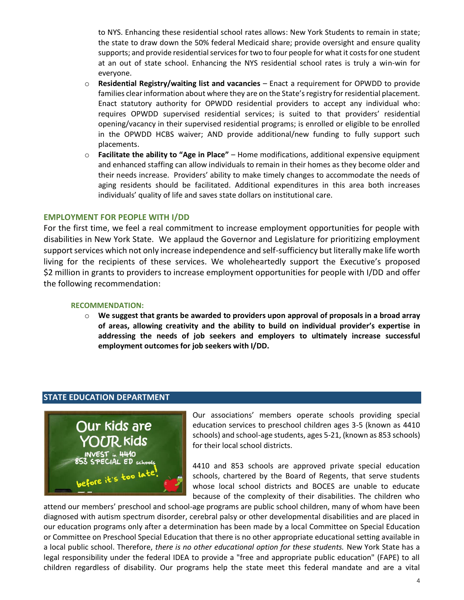to NYS. Enhancing these residential school rates allows: New York Students to remain in state; the state to draw down the 50% federal Medicaid share; provide oversight and ensure quality supports; and provide residential services for two to four people for what it costs for one student at an out of state school. Enhancing the NYS residential school rates is truly a win-win for everyone.

- o **Residential Registry/waiting list and vacancies** Enact a requirement for OPWDD to provide families clear information about where they are on the State's registry for residential placement. Enact statutory authority for OPWDD residential providers to accept any individual who: requires OPWDD supervised residential services; is suited to that providers' residential opening/vacancy in their supervised residential programs; is enrolled or eligible to be enrolled in the OPWDD HCBS waiver; AND provide additional/new funding to fully support such placements.
- o **Facilitate the ability to "Age in Place"** Home modifications, additional expensive equipment and enhanced staffing can allow individuals to remain in their homes as they become older and their needs increase. Providers' ability to make timely changes to accommodate the needs of aging residents should be facilitated. Additional expenditures in this area both increases individuals' quality of life and saves state dollars on institutional care.

## **EMPLOYMENT FOR PEOPLE WITH I/DD**

For the first time, we feel a real commitment to increase employment opportunities for people with disabilities in New York State. We applaud the Governor and Legislature for prioritizing employment support services which not only increase independence and self-sufficiency but literally make life worth living for the recipients of these services. We wholeheartedly support the Executive's proposed \$2 million in grants to providers to increase employment opportunities for people with I/DD and offer the following recommendation:

#### **RECOMMENDATION:**

o **We suggest that grants be awarded to providers upon approval of proposals in a broad array of areas, allowing creativity and the ability to build on individual provider's expertise in addressing the needs of job seekers and employers to ultimately increase successful employment outcomes for job seekers with I/DD.**

# **STATE EDUCATION DEPARTMENT**



Our associations' members operate schools providing special education services to preschool children ages 3-5 (known as 4410 schools) and school-age students, ages 5-21, (known as 853 schools) for their local school districts.

4410 and 853 schools are approved private special education schools, chartered by the Board of Regents, that serve students whose local school districts and BOCES are unable to educate because of the complexity of their disabilities. The children who

attend our members' preschool and school-age programs are public school children, many of whom have been diagnosed with autism spectrum disorder, cerebral palsy or other developmental disabilities and are placed in our education programs only after a determination has been made by a local Committee on Special Education or Committee on Preschool Special Education that there is no other appropriate educational setting available in a local public school. Therefore, *there is no other educational option for these students.* New York State has a legal responsibility under the federal IDEA to provide a "free and appropriate public education" (FAPE) to all children regardless of disability. Our programs help the state meet this federal mandate and are a vital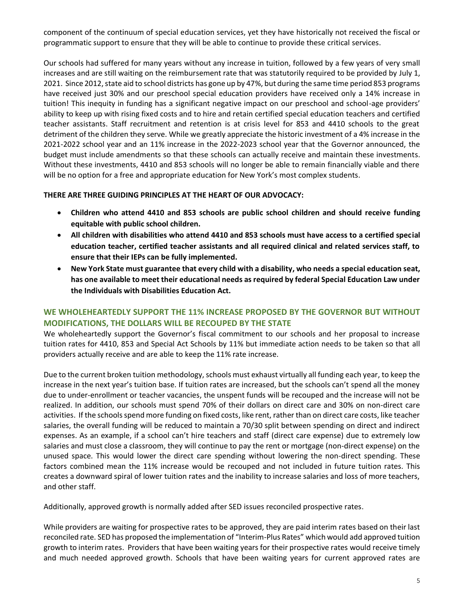component of the continuum of special education services, yet they have historically not received the fiscal or programmatic support to ensure that they will be able to continue to provide these critical services.

Our schools had suffered for many years without any increase in tuition, followed by a few years of very small increases and are still waiting on the reimbursement rate that was statutorily required to be provided by July 1, 2021. Since 2012, state aid to school districts has gone up by 47%, but during the same time period 853 programs have received just 30% and our preschool special education providers have received only a 14% increase in tuition! This inequity in funding has a significant negative impact on our preschool and school-age providers' ability to keep up with rising fixed costs and to hire and retain certified special education teachers and certified teacher assistants. Staff recruitment and retention is at crisis level for 853 and 4410 schools to the great detriment of the children they serve. While we greatly appreciate the historic investment of a 4% increase in the 2021-2022 school year and an 11% increase in the 2022-2023 school year that the Governor announced, the budget must include amendments so that these schools can actually receive and maintain these investments. Without these investments, 4410 and 853 schools will no longer be able to remain financially viable and there will be no option for a free and appropriate education for New York's most complex students.

## **THERE ARE THREE GUIDING PRINCIPLES AT THE HEART OF OUR ADVOCACY:**

- **Children who attend 4410 and 853 schools are public school children and should receive funding equitable with public school children.**
- **All children with disabilities who attend 4410 and 853 schools must have access to a certified special education teacher, certified teacher assistants and all required clinical and related services staff, to ensure that their IEPs can be fully implemented.**
- **New York State must guarantee that every child with a disability, who needs a special education seat, has one available to meet their educational needs as required by federal Special Education Law under the Individuals with Disabilities Education Act.**

# **WE WHOLEHEARTEDLY SUPPORT THE 11% INCREASE PROPOSED BY THE GOVERNOR BUT WITHOUT MODIFICATIONS, THE DOLLARS WILL BE RECOUPED BY THE STATE**

We wholeheartedly support the Governor's fiscal commitment to our schools and her proposal to increase tuition rates for 4410, 853 and Special Act Schools by 11% but immediate action needs to be taken so that all providers actually receive and are able to keep the 11% rate increase.

Due to the current broken tuition methodology, schools must exhaust virtually all funding each year, to keep the increase in the next year's tuition base. If tuition rates are increased, but the schools can't spend all the money due to under-enrollment or teacher vacancies, the unspent funds will be recouped and the increase will not be realized. In addition, our schools must spend 70% of their dollars on direct care and 30% on non-direct care activities. If the schools spend more funding on fixed costs, like rent, rather than on direct care costs, like teacher salaries, the overall funding will be reduced to maintain a 70/30 split between spending on direct and indirect expenses. As an example, if a school can't hire teachers and staff (direct care expense) due to extremely low salaries and must close a classroom, they will continue to pay the rent or mortgage (non-direct expense) on the unused space. This would lower the direct care spending without lowering the non-direct spending. These factors combined mean the 11% increase would be recouped and not included in future tuition rates. This creates a downward spiral of lower tuition rates and the inability to increase salaries and loss of more teachers, and other staff.

Additionally, approved growth is normally added after SED issues reconciled prospective rates.

While providers are waiting for prospective rates to be approved, they are paid interim rates based on their last reconciled rate. SED has proposed the implementation of "Interim-Plus Rates" which would add approved tuition growth to interim rates. Providers that have been waiting years for their prospective rates would receive timely and much needed approved growth. Schools that have been waiting years for current approved rates are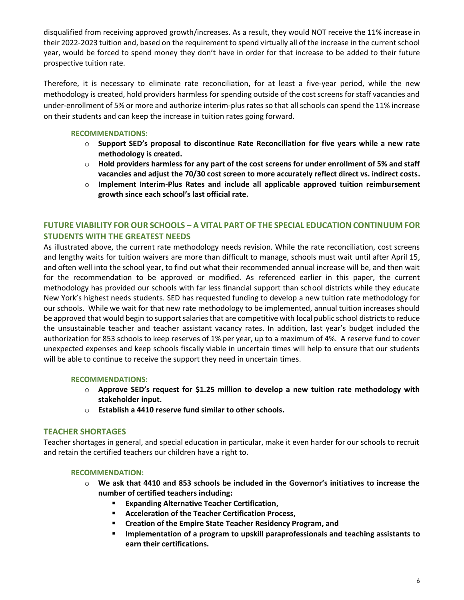disqualified from receiving approved growth/increases. As a result, they would NOT receive the 11% increase in their 2022-2023 tuition and, based on the requirement to spend virtually all of the increase in the current school year, would be forced to spend money they don't have in order for that increase to be added to their future prospective tuition rate.

Therefore, it is necessary to eliminate rate reconciliation, for at least a five-year period, while the new methodology is created, hold providers harmless for spending outside of the cost screens for staff vacancies and under-enrollment of 5% or more and authorize interim-plus rates so that all schools can spend the 11% increase on their students and can keep the increase in tuition rates going forward.

# **RECOMMENDATIONS:**

- o **Support SED's proposal to discontinue Rate Reconciliation for five years while a new rate methodology is created.**
- o **Hold providers harmless for any part of the cost screens for under enrollment of 5% and staff vacancies and adjust the 70/30 cost screen to more accurately reflect direct vs. indirect costs.**
- o **Implement Interim-Plus Rates and include all applicable approved tuition reimbursement growth since each school's last official rate.**

# **FUTURE VIABILITY FOR OUR SCHOOLS – A VITAL PART OF THE SPECIAL EDUCATION CONTINUUM FOR STUDENTS WITH THE GREATEST NEEDS**

As illustrated above, the current rate methodology needs revision. While the rate reconciliation, cost screens and lengthy waits for tuition waivers are more than difficult to manage, schools must wait until after April 15, and often well into the school year, to find out what their recommended annual increase will be, and then wait for the recommendation to be approved or modified. As referenced earlier in this paper, the current methodology has provided our schools with far less financial support than school districts while they educate New York's highest needs students. SED has requested funding to develop a new tuition rate methodology for our schools. While we wait for that new rate methodology to be implemented, annual tuition increases should be approved that would begin to support salaries that are competitive with local public school districts to reduce the unsustainable teacher and teacher assistant vacancy rates. In addition, last year's budget included the authorization for 853 schools to keep reserves of 1% per year, up to a maximum of 4%. A reserve fund to cover unexpected expenses and keep schools fiscally viable in uncertain times will help to ensure that our students will be able to continue to receive the support they need in uncertain times.

## **RECOMMENDATIONS:**

- o **Approve SED's request for \$1.25 million to develop a new tuition rate methodology with stakeholder input.**
- o **Establish a 4410 reserve fund similar to other schools.**

# **TEACHER SHORTAGES**

Teacher shortages in general, and special education in particular, make it even harder for our schools to recruit and retain the certified teachers our children have a right to.

# **RECOMMENDATION:**

- o **We ask that 4410 and 853 schools be included in the Governor's initiatives to increase the number of certified teachers including:**
	- **Expanding Alternative Teacher Certification,**
	- **Acceleration of the Teacher Certification Process,**
	- **Creation of the Empire State Teacher Residency Program, and**
	- **Implementation of a program to upskill paraprofessionals and teaching assistants to earn their certifications.**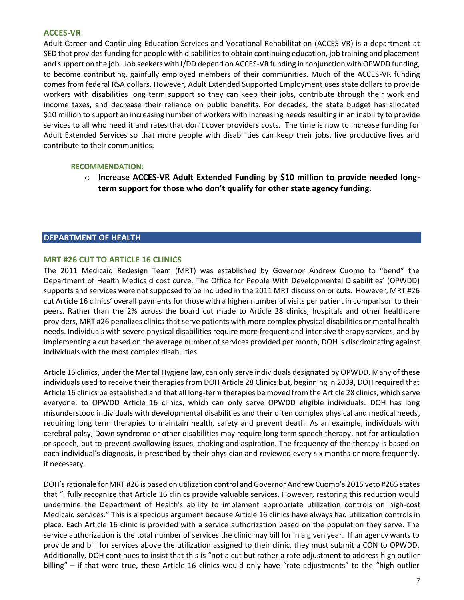## **ACCES-VR**

Adult Career and Continuing Education Services and Vocational Rehabilitation (ACCES-VR) is a department at SED that provides funding for people with disabilities to obtain continuing education, job training and placement and support on the job. Job seekers with I/DD depend on ACCES-VR funding in conjunction with OPWDD funding, to become contributing, gainfully employed members of their communities. Much of the ACCES-VR funding comes from federal RSA dollars. However, Adult Extended Supported Employment uses state dollars to provide workers with disabilities long term support so they can keep their jobs, contribute through their work and income taxes, and decrease their reliance on public benefits. For decades, the state budget has allocated \$10 million to support an increasing number of workers with increasing needs resulting in an inability to provide services to all who need it and rates that don't cover providers costs. The time is now to increase funding for Adult Extended Services so that more people with disabilities can keep their jobs, live productive lives and contribute to their communities.

### **RECOMMENDATION:**

o **Increase ACCES-VR Adult Extended Funding by \$10 million to provide needed longterm support for those who don't qualify for other state agency funding.**

### **DEPARTMENT OF HEALTH**

## **MRT #26 CUT TO ARTICLE 16 CLINICS**

The 2011 Medicaid Redesign Team (MRT) was established by Governor Andrew Cuomo to "bend" the Department of Health Medicaid cost curve. The Office for People With Developmental Disabilities' (OPWDD) supports and services were not supposed to be included in the 2011 MRT discussion or cuts. However, MRT #26 cut Article 16 clinics' overall payments for those with a higher number of visits per patient in comparison to their peers. Rather than the 2% across the board cut made to Article 28 clinics, hospitals and other healthcare providers, MRT #26 penalizes clinics that serve patients with more complex physical disabilities or mental health needs. Individuals with severe physical disabilities require more frequent and intensive therapy services, and by implementing a cut based on the average number of services provided per month, DOH is discriminating against individuals with the most complex disabilities.

Article 16 clinics, under the Mental Hygiene law, can only serve individuals designated by OPWDD. Many of these individuals used to receive their therapies from DOH Article 28 Clinics but, beginning in 2009, DOH required that Article 16 clinics be established and that all long-term therapies be moved from the Article 28 clinics, which serve everyone, to OPWDD Article 16 clinics, which can only serve OPWDD eligible individuals. DOH has long misunderstood individuals with developmental disabilities and their often complex physical and medical needs, requiring long term therapies to maintain health, safety and prevent death. As an example, individuals with cerebral palsy, Down syndrome or other disabilities may require long term speech therapy, not for articulation or speech, but to prevent swallowing issues, choking and aspiration. The frequency of the therapy is based on each individual's diagnosis, is prescribed by their physician and reviewed every six months or more frequently, if necessary.

DOH's rationale for MRT #26 is based on utilization control and Governor Andrew Cuomo's 2015 veto #265 states that "I fully recognize that Article 16 clinics provide valuable services. However, restoring this reduction would undermine the Department of Health's ability to implement appropriate utilization controls on high-cost Medicaid services." This is a specious argument because Article 16 clinics have always had utilization controls in place. Each Article 16 clinic is provided with a service authorization based on the population they serve. The service authorization is the total number of services the clinic may bill for in a given year. If an agency wants to provide and bill for services above the utilization assigned to their clinic, they must submit a CON to OPWDD. Additionally, DOH continues to insist that this is "not a cut but rather a rate adjustment to address high outlier billing" – if that were true, these Article 16 clinics would only have "rate adjustments" to the "high outlier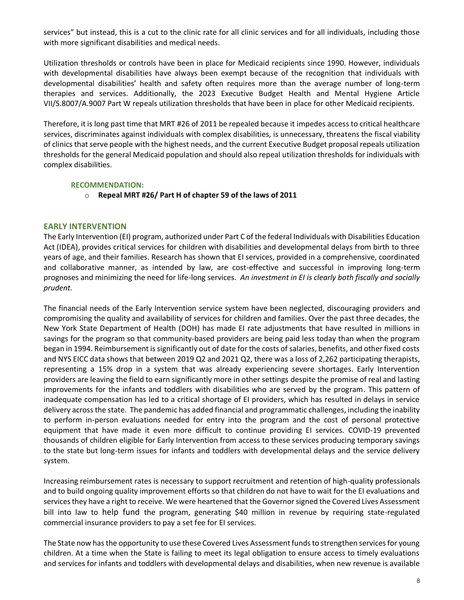services" but instead, this is a cut to the clinic rate for all clinic services and for all individuals, including those with more significant disabilities and medical needs.

Utilization thresholds or controls have been in place for Medicaid recipients since 1990. However, individuals with developmental disabilities have always been exempt because of the recognition that individuals with developmental disabilities' health and safety often requires more than the average number of long-term therapies and services. Additionally, the 2023 Executive Budget Health and Mental Hygiene Article VII/S.8007/A.9007 Part W repeals utilization thresholds that have been in place for other Medicaid recipients.

Therefore, it is long past time that MRT #26 of 2011 be repealed because it impedes access to critical healthcare services, discriminates against individuals with complex disabilities, is unnecessary, threatens the fiscal viability of clinics that serve people with the highest needs, and the current Executive Budget proposal repeals utilization thresholds for the general Medicaid population and should also repeal utilization thresholds for individuals with complex disabilities.

## **RECOMMENDATION:**

o **Repeal MRT #26/ Part H of chapter 59 of the laws of 2011**

# **EARLY INTERVENTION**

The Early Intervention (EI) program, authorized under Part C of the federal Individuals with Disabilities Education Act (IDEA), provides critical services for children with disabilities and developmental delays from birth to three years of age, and their families. Research has shown that EI services, provided in a comprehensive, coordinated and collaborative manner, as intended by law, are cost-effective and successful in improving long-term prognoses and minimizing the need for life-long services. *An investment in EI is clearly both fiscally and socially prudent.* 

The financial needs of the Early Intervention service system have been neglected, discouraging providers and compromising the quality and availability of services for children and families. Over the past three decades, the New York State Department of Health (DOH) has made EI rate adjustments that have resulted in millions in savings for the program so that community-based providers are being paid less today than when the program began in 1994. Reimbursement is significantly out of date for the costs of salaries, benefits, and other fixed costs and NYS EICC data shows that between 2019 Q2 and 2021 Q2, there was a loss of 2,262 participating therapists, representing a 15% drop in a system that was already experiencing severe shortages. Early Intervention providers are leaving the field to earn significantly more in other settings despite the promise of real and lasting improvements for the infants and toddlers with disabilities who are served by the program. This pattern of inadequate compensation has led to a critical shortage of EI providers, which has resulted in delays in service delivery across the state. The pandemic has added financial and programmatic challenges, including the inability to perform in-person evaluations needed for entry into the program and the cost of personal protective equipment that have made it even more difficult to continue providing EI services. COVID-19 prevented thousands of children eligible for Early Intervention from access to these services producing temporary savings to the state but long-term issues for infants and toddlers with developmental delays and the service delivery system.

Increasing reimbursement rates is necessary to support recruitment and retention of high-quality professionals and to build ongoing quality improvement efforts so that children do not have to wait for the EI evaluations and services they have a right to receive. We were heartened that the Governor signed the Covered Lives Assessment bill into law to help fund the program, generating \$40 million in revenue by requiring state-regulated commercial insurance providers to pay a set fee for EI services.

The State now has the opportunity to use these Covered Lives Assessment funds to strengthen services for young children. At a time when the State is failing to meet its legal obligation to ensure access to timely evaluations and services for infants and toddlers with developmental delays and disabilities, when new revenue is available